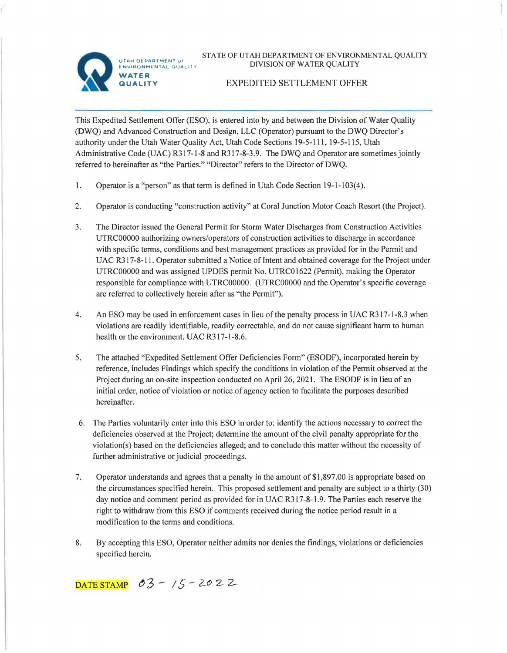

UTAH DEPARTMENT of ENVIRONMENTAL QUALITY **WATER** 

**QUALITY** 

STATE OF UTAH DEPARTMENT OF ENVIRONMENTAL QUALITY DIVISION OF WATER QUALITY

## EXPEDITED SETTLEMENT OFFER

This Expedited Settlement Offer (ESO), is entered into by and between the Division of Water Quality (DWQ) and Advanced Construction and Design, LLC (Operator) pursuant to the DWQ Director's authority under the Utah Water Quality Act, Utah Code Sections 19-5-111, 19-5-115, Utah Administrative Code (UAC) R317-l-8 and R317-8-3.9. The DWQ and Operator are sometimes jointly referred to hereinafter as "the Parties." "Director" refers to the Director of DWQ.

- 1. Operator is a "person" as that term is defined in Utah Code Section 19-1-103(4).
- 2. Operator is conducting "construction activity" at Coral Junction Motor Coach Resort (the Project).
- 3. The Director issued the General Permit for Storm Water Discharges from Construction Activities UTRC00000 authorizing owners/operators of construction activities to discharge in accordance with specific terms, conditions and best management practices as provided for in the Permit and UAC R317-8-11. Operator submitted a Notice of Intent and obtained coverage for the Project under UTRC00000 and was assigned UPDES permit No. UTRC01622 (Permit), making the Operator responsible for compliance with UTRC00000. (UTRC00000 and the Operator's specific coverage are referred to collectively herein after as "the Permit").
- 4. An ESO may be used in enforcement cases in lieu of the penalty process in UAC R317-1-8.3 when violations are readily identifiable, readily correctable, and do not cause significant harm to human health or the environment. UAC R317-1-8.6.
- 5. The attached "Expedited Settlement Offer Deficiencies Form" (ESODF), incorporated herein by reference, includes Findings which specify the conditions in violation of the Permit observed at the Project during an on-site inspection conducted on April 26, 2021. The ESODF is in lieu of an initial order, notice of violation or notice of agency action to facilitate the purposes described hereinafter.
- 6. The Parties voluntarily enter into this ESO in order to: identify the actions necessary to correct the deficiencies observed at the Project; determine the amount of the civil penalty appropriate for the violation(s) based on the deficiencies alleged; and to conclude this matter without the necessity of further administrative or judicial proceedings.
- 7. Operator understands and agrees that a penalty in the amount of\$1,897.00 is appropriate based on the circumstances specified herein. This proposed settlement and penalty are subject to a thirty (30) day notice and comment period as provided for in UAC R317-8-1.9. The Parties each reserve the right to withdraw from this ESO if comments received during the notice period result in a modification to the terms and conditions.
- 8. By accepting this ESO, Operator neither admits nor denies the findings, violations or deficiencies specified herein.